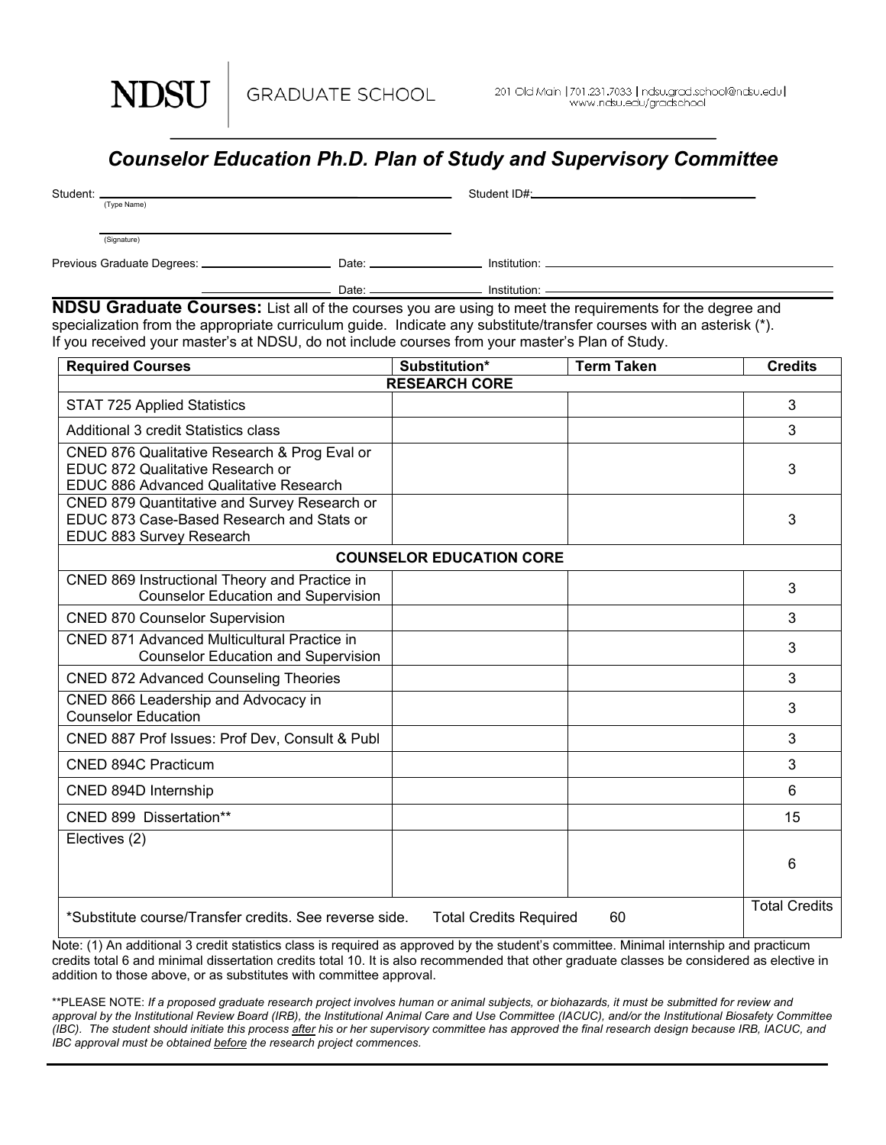**NDSU** 

## *Counselor Education Ph.D. Plan of Study and Supervisory Committee*

| Student: |                              |  |       | Student ID#: |
|----------|------------------------------|--|-------|--------------|
|          | (Type Name)                  |  |       |              |
|          | (Signature)                  |  |       |              |
|          | Previous Graduate Degrees: _ |  | Date: | Institution: |
|          |                              |  | Date: | Institution: |

**NDSU Graduate Courses:** List all of the courses you are using to meet the requirements for the degree and specialization from the appropriate curriculum guide. Indicate any substitute/transfer courses with an asterisk (\*). If you received your master's at NDSU, do not include courses from your master's Plan of Study.

| <b>Required Courses</b>                                                                                                      | Substitution* | <b>Term Taken</b> | <b>Credits</b> |  |  |  |  |  |  |
|------------------------------------------------------------------------------------------------------------------------------|---------------|-------------------|----------------|--|--|--|--|--|--|
| <b>RESEARCH CORE</b>                                                                                                         |               |                   |                |  |  |  |  |  |  |
| <b>STAT 725 Applied Statistics</b>                                                                                           |               |                   | 3              |  |  |  |  |  |  |
| Additional 3 credit Statistics class                                                                                         |               |                   | 3              |  |  |  |  |  |  |
| CNED 876 Qualitative Research & Prog Eval or<br>EDUC 872 Qualitative Research or<br>EDUC 886 Advanced Qualitative Research   |               |                   | 3              |  |  |  |  |  |  |
| <b>CNED 879 Quantitative and Survey Research or</b><br>EDUC 873 Case-Based Research and Stats or<br>EDUC 883 Survey Research |               |                   | 3              |  |  |  |  |  |  |
| <b>COUNSELOR EDUCATION CORE</b>                                                                                              |               |                   |                |  |  |  |  |  |  |
| CNED 869 Instructional Theory and Practice in<br><b>Counselor Education and Supervision</b>                                  |               |                   | 3              |  |  |  |  |  |  |
| <b>CNED 870 Counselor Supervision</b>                                                                                        |               |                   | 3              |  |  |  |  |  |  |
| <b>CNED 871 Advanced Multicultural Practice in</b><br><b>Counselor Education and Supervision</b>                             |               |                   | 3              |  |  |  |  |  |  |
| <b>CNED 872 Advanced Counseling Theories</b>                                                                                 |               |                   | 3              |  |  |  |  |  |  |
| CNED 866 Leadership and Advocacy in<br><b>Counselor Education</b>                                                            |               |                   | 3              |  |  |  |  |  |  |
| CNED 887 Prof Issues: Prof Dev, Consult & Publ                                                                               |               |                   | 3              |  |  |  |  |  |  |
| <b>CNED 894C Practicum</b>                                                                                                   |               |                   | 3              |  |  |  |  |  |  |
| CNED 894D Internship                                                                                                         |               |                   | 6              |  |  |  |  |  |  |
| <b>CNED 899 Dissertation**</b>                                                                                               |               |                   | 15             |  |  |  |  |  |  |
| Electives (2)                                                                                                                |               |                   | 6              |  |  |  |  |  |  |
| *Substitute course/Transfer credits. See reverse side.<br>60<br><b>Total Credits Required</b>                                |               |                   |                |  |  |  |  |  |  |

Note: (1) An additional 3 credit statistics class is required as approved by the student's committee. Minimal internship and practicum credits total 6 and minimal dissertation credits total 10. It is also recommended that other graduate classes be considered as elective in addition to those above, or as substitutes with committee approval.

\*\*PLEASE NOTE: *If a proposed graduate research project involves human or animal subjects, or biohazards, it must be submitted for review and*  approval by the Institutional Review Board (IRB), the Institutional Animal Care and Use Committee (IACUC), and/or the Institutional Biosafety Committee *(IBC). The student should initiate this process after his or her supervisory committee has approved the final research design because IRB, IACUC, and IBC approval must be obtained before the research project commences.*